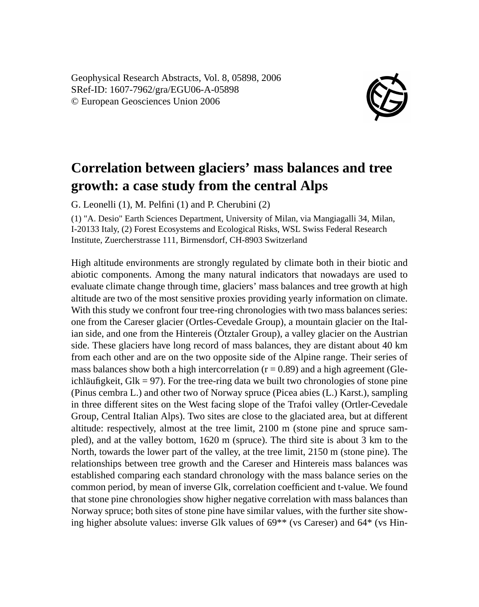Geophysical Research Abstracts, Vol. 8, 05898, 2006 SRef-ID: 1607-7962/gra/EGU06-A-05898 © European Geosciences Union 2006



## **Correlation between glaciers' mass balances and tree growth: a case study from the central Alps**

G. Leonelli (1), M. Pelfini (1) and P. Cherubini (2)

(1) "A. Desio" Earth Sciences Department, University of Milan, via Mangiagalli 34, Milan, I-20133 Italy, (2) Forest Ecosystems and Ecological Risks, WSL Swiss Federal Research Institute, Zuercherstrasse 111, Birmensdorf, CH-8903 Switzerland

High altitude environments are strongly regulated by climate both in their biotic and abiotic components. Among the many natural indicators that nowadays are used to evaluate climate change through time, glaciers' mass balances and tree growth at high altitude are two of the most sensitive proxies providing yearly information on climate. With this study we confront four tree-ring chronologies with two mass balances series: one from the Careser glacier (Ortles-Cevedale Group), a mountain glacier on the Italian side, and one from the Hintereis (Ötztaler Group), a valley glacier on the Austrian side. These glaciers have long record of mass balances, they are distant about 40 km from each other and are on the two opposite side of the Alpine range. Their series of mass balances show both a high intercorrelation  $(r = 0.89)$  and a high agreement (Gleichläufigkeit, Glk = 97). For the tree-ring data we built two chronologies of stone pine (Pinus cembra L.) and other two of Norway spruce (Picea abies (L.) Karst.), sampling in three different sites on the West facing slope of the Trafoi valley (Ortler-Cevedale Group, Central Italian Alps). Two sites are close to the glaciated area, but at different altitude: respectively, almost at the tree limit, 2100 m (stone pine and spruce sampled), and at the valley bottom, 1620 m (spruce). The third site is about 3 km to the North, towards the lower part of the valley, at the tree limit, 2150 m (stone pine). The relationships between tree growth and the Careser and Hintereis mass balances was established comparing each standard chronology with the mass balance series on the common period, by mean of inverse Glk, correlation coefficient and t-value. We found that stone pine chronologies show higher negative correlation with mass balances than Norway spruce; both sites of stone pine have similar values, with the further site showing higher absolute values: inverse Glk values of 69\*\* (vs Careser) and 64\* (vs Hin